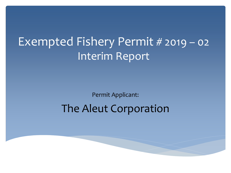## Exempted Fishery Permit # 2019 – 02 Interim Report

Permit Applicant:

#### The Aleut Corporation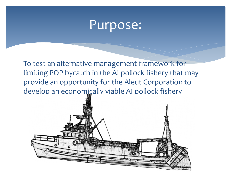### Purpose:

To test an alternative management framework for limiting POP bycatch in the AI pollock fishery that may provide an opportunity for the Aleut Corporation to develop an economically viable AI pollock fishery

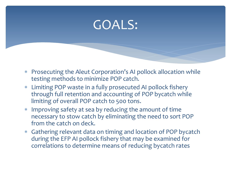## GOALS:

- ∗ Prosecuting the Aleut Corporation's AI pollock allocation while testing methods to minimize POP catch.
- ∗ Limiting POP waste in a fully prosecuted AI pollock fishery through full retention and accounting of POP bycatch while limiting of overall POP catch to 500 tons.
- ∗ Improving safety at sea by reducing the amount of time necessary to stow catch by eliminating the need to sort POP from the catch on deck.
- ∗ Gathering relevant data on timing and location of POP bycatch during the EFP AI pollock fishery that may be examined for correlations to determine means of reducing bycatch rates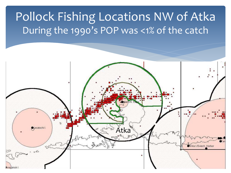### Pollock Fishing Locations NW of Atka During the 1990's POP was <1% of the catch

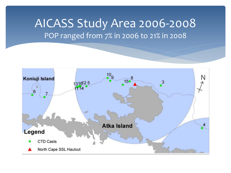#### AICASS Study Area 2006-2008 POP ranged from 7% in 2006 to 21% in 2008

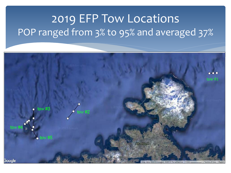# 2019 EFP Tow Locations POP ranged from 3% to 95% and averaged 37%

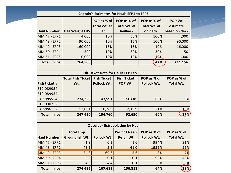| <b>Captain's Estimates for Hauls EFP1 to EFP5</b> |                          |                     |                      |                     |                  |
|---------------------------------------------------|--------------------------|---------------------|----------------------|---------------------|------------------|
|                                                   |                          | POP as % of         | POP as % of          | POP as % of         | POP Wt.          |
|                                                   |                          | <b>Total Wt. at</b> | <b>Total Wt. at</b>  | <b>Total Wt. at</b> | estimate         |
| <b>Haul Number</b>                                | <b>Hail Weight LBS</b>   | Set                 | <b>Haulback</b>      | on deck             | based on deck    |
| MM 47 - EFP1                                      | 4,000                    | 10%                 | 50%                  | 100%                | 4,000            |
| MM 48 - EFP2                                      | 90,000                   | 10%                 | 15%                  | 100%                | 90,000           |
| MM 49 - EFP3                                      | 160,000                  | 15%                 | 15%                  | 10%                 | 16,000           |
| MM 50 - EFP4                                      | 500                      | 10%                 | 30%                  | 30%                 | 150              |
| MM 51 - EFP5                                      | 10,000                   | 10%                 | 10%                  | 10%                 | 1,000            |
| <b>Total (in lbs)</b>                             | 264,500                  |                     |                      | 42%                 | 111,150          |
|                                                   |                          |                     |                      |                     |                  |
| Fish Ticket Data for Hauls EFP1 to EFP5           |                          |                     |                      |                     |                  |
|                                                   | <b>Total Fish Ticket</b> | <b>Fish Ticket</b>  | <b>Fish Ticket</b>   | POP as % of         | POP as % of      |
| Fish ticket #                                     | Wt.                      | Pollock Wt.         | POP Wt.              | Pollock Wt.         | <b>Total Wt.</b> |
| E19-089954                                        |                          |                     |                      |                     |                  |
| E19-089954                                        |                          |                     |                      |                     |                  |
| E19-089954                                        | 234,329                  | 143,991             | 90,338               | 63%                 | 39%              |
| E19-090252                                        |                          |                     |                      |                     |                  |
| E19-090252                                        | 13,081                   | 10,769              | 2,312                | 21%                 | 18%              |
| <b>Total (in lbs)</b>                             | 247,410                  | 154,760             | 92,650               | 60%                 | 37%              |
|                                                   |                          |                     |                      |                     |                  |
| <b>Observer Extrapolation by Haul</b>             |                          |                     |                      |                     |                  |
|                                                   | <b>Total Fmp</b>         |                     | <b>Pacific Ocean</b> | POP as % of         | POP as % of      |
| <b>Haul Number</b>                                | Groundfish Wt.           | <b>Pollock Wt</b>   | <b>Perch Wt</b>      | Pollock Wt.         | <b>Total Wt.</b> |
| MM 47 - EFP1                                      | 1.8                      | 0.2                 | 1.6                  | 994%                | 91%              |
| MM 48 - EFP2                                      | 43.1                     | 2.1                 | 41.0                 | 1952%               | 95%              |
| <b>IM 49 - EFP3</b>                               | 74.8                     | 69.3                | 5.6                  | 8%                  | 7 <sup>9</sup>   |
| <b>MM 50 - EFP4</b>                               | 0.2                      | 0.1                 | 0.1                  | 92%                 | 48%              |
| <b>MM 51 - EFP5</b>                               | 4.5                      | 4.4                 | 0.1                  | 3%                  | 3%               |
| <b>Total (in lbs)</b>                             | 274,495                  | 167,681             | 106,813              | 64%                 | 39%              |